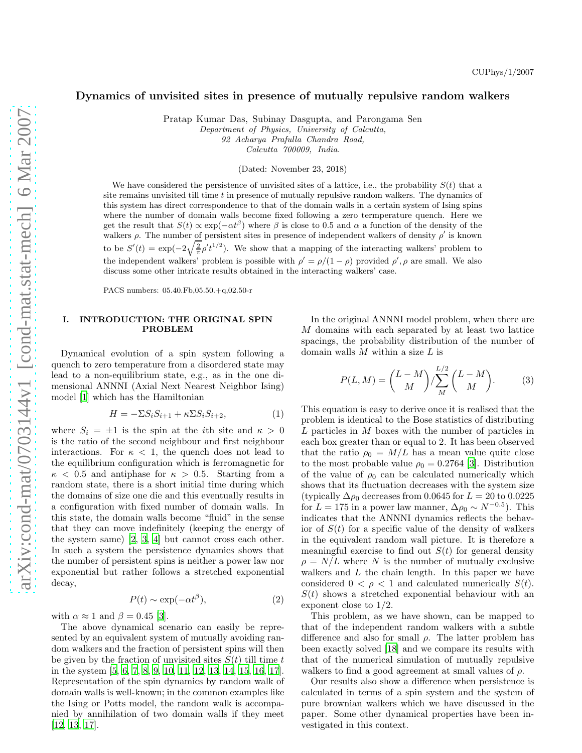## Dynamics of unvisited sites in presence of mutually repulsive random walkers

Pratap Kumar Das, Subinay Dasgupta, and Parongama Sen

Department of Physics, University of Calcutta,

92 Acharya Prafulla Chandra Road,

Calcutta 700009, India.

(Dated: November 23, 2018)

We have considered the persistence of unvisited sites of a lattice, i.e., the probability  $S(t)$  that a site remains unvisited till time  $t$  in presence of mutually repulsive random walkers. The dynamics of this system has direct correspondence to that of the domain walls in a certain system of Ising spins where the number of domain walls become fixed following a zero termperature quench. Here we get the result that  $S(t) \propto \exp(-\alpha t^{\beta})$  where  $\beta$  is close to 0.5 and  $\alpha$  a function of the density of the walkers  $\rho$ . The number of persistent sites in presence of independent walkers of density  $\rho'$  is known to be  $S'(t) = \exp(-2\sqrt{\frac{2}{\pi}}\rho' t^{1/2})$ . We show that a mapping of the interacting walkers' problem to the independent walkers' problem is possible with  $\rho' = \rho/(1-\rho)$  provided  $\rho', \rho$  are small. We also discuss some other intricate results obtained in the interacting walkers' case.

PACS numbers: 05.40.Fb,05.50.+q,02.50-r

## I. INTRODUCTION: THE ORIGINAL SPIN PROBLEM

Dynamical evolution of a spin system following a quench to zero temperature from a disordered state may lead to a non-equilibrium state, e.g., as in the one dimensional ANNNI (Axial Next Nearest Neighbor Ising) model [\[1](#page-5-0)] which has the Hamiltonian

$$
H = -\Sigma S_i S_{i+1} + \kappa \Sigma S_i S_{i+2},\tag{1}
$$

where  $S_i = \pm 1$  is the spin at the *i*th site and  $\kappa > 0$ is the ratio of the second neighbour and first neighbour interactions. For  $\kappa$  < 1, the quench does not lead to the equilibrium configuration which is ferromagnetic for  $\kappa$  < 0.5 and antiphase for  $\kappa > 0.5$ . Starting from a random state, there is a short initial time during which the domains of size one die and this eventually results in a configuration with fixed number of domain walls. In this state, the domain walls become "fluid" in the sense that they can move indefinitely (keeping the energy of the system same) [\[2,](#page-5-1) [3,](#page-5-2) [4\]](#page-5-3) but cannot cross each other. In such a system the persistence dynamics shows that the number of persistent spins is neither a power law nor exponential but rather follows a stretched exponential decay,

$$
P(t) \sim \exp(-\alpha t^{\beta}),\tag{2}
$$

with  $\alpha \approx 1$  and  $\beta = 0.45$  [\[3](#page-5-2)].

The above dynamical scenario can easily be represented by an equivalent system of mutually avoiding random walkers and the fraction of persistent spins will then be given by the fraction of unvisited sites  $S(t)$  till time t in the system [\[5,](#page-5-4) [6,](#page-5-5) [7,](#page-5-6) [8,](#page-5-7) [9,](#page-5-8) [10,](#page-5-9) [11](#page-5-10), [12](#page-5-11), [13](#page-5-12), [14,](#page-5-13) [15,](#page-5-14) [16,](#page-5-15) [17\]](#page-5-16). Representation of the spin dynamics by random walk of domain walls is well-known; in the common examples like the Ising or Potts model, the random walk is accompanied by annihilation of two domain walls if they meet [\[12,](#page-5-11) [13,](#page-5-12) [17\]](#page-5-16).

In the original ANNNI model problem, when there are M domains with each separated by at least two lattice spacings, the probability distribution of the number of domain walls  $M$  within a size  $L$  is

$$
P(L, M) = \binom{L - M}{M} / \sum_{M}^{L/2} \binom{L - M}{M}.
$$
 (3)

This equation is easy to derive once it is realised that the problem is identical to the Bose statistics of distributing L particles in M boxes with the number of particles in each box greater than or equal to 2. It has been observed that the ratio  $\rho_0 = M/L$  has a mean value quite close to the most probable value  $\rho_0 = 0.2764$  [\[3](#page-5-2)]. Distribution of the value of  $\rho_0$  can be calculated numerically which shows that its fluctuation decreases with the system size (typically  $\Delta \rho_0$  decreases from 0.0645 for  $L = 20$  to 0.0225 for  $L = 175$  in a power law manner,  $\Delta \rho_0 \sim N^{-0.5}$ ). This indicates that the ANNNI dynamics reflects the behavior of  $S(t)$  for a specific value of the density of walkers in the equivalent random wall picture. It is therefore a meaningful exercise to find out  $S(t)$  for general density  $\rho = N/L$  where N is the number of mutually exclusive walkers and  $L$  the chain length. In this paper we have considered  $0 < \rho < 1$  and calculated numerically  $S(t)$ .  $S(t)$  shows a stretched exponential behaviour with an exponent close to 1/2.

This problem, as we have shown, can be mapped to that of the independent random walkers with a subtle difference and also for small  $\rho$ . The latter problem has been exactly solved [\[18](#page-5-17)] and we compare its results with that of the numerical simulation of mutually repulsive walkers to find a good agreement at small values of  $\rho$ .

Our results also show a difference when persistence is calculated in terms of a spin system and the system of pure brownian walkers which we have discussed in the paper. Some other dynamical properties have been investigated in this context.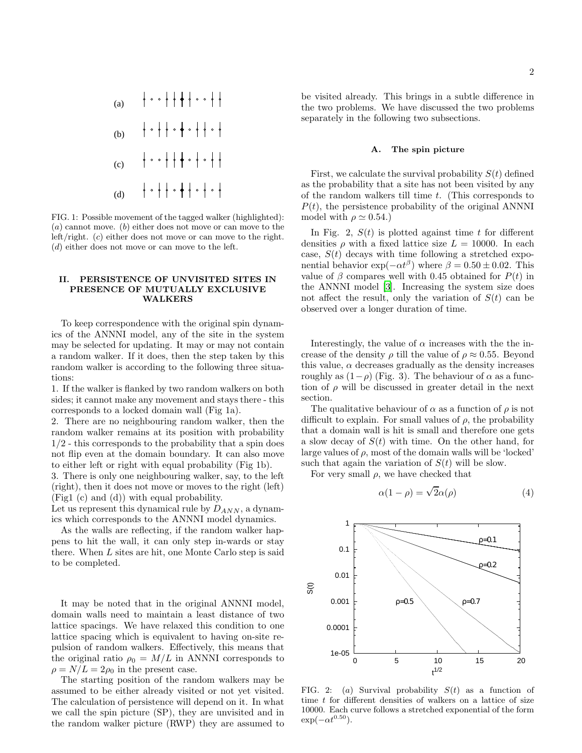

FIG. 1: Possible movement of the tagged walker (highlighted):  $(a)$  cannot move.  $(b)$  either does not move or can move to the left/right. (c) either does not move or can move to the right. (d) either does not move or can move to the left.

### II. PERSISTENCE OF UNVISITED SITES IN PRESENCE OF MUTUALLY EXCLUSIVE WALKERS

To keep correspondence with the original spin dynamics of the ANNNI model, any of the site in the system may be selected for updating. It may or may not contain a random walker. If it does, then the step taken by this random walker is according to the following three situations:

1. If the walker is flanked by two random walkers on both sides; it cannot make any movement and stays there - this corresponds to a locked domain wall (Fig 1a).

2. There are no neighbouring random walker, then the random walker remains at its position with probability 1/2 - this corresponds to the probability that a spin does not flip even at the domain boundary. It can also move to either left or right with equal probability (Fig 1b).

3. There is only one neighbouring walker, say, to the left (right), then it does not move or moves to the right (left) (Fig1 (c) and (d)) with equal probability.

Let us represent this dynamical rule by  $D_{ANN}$ , a dynamics which corresponds to the ANNNI model dynamics.

As the walls are reflecting, if the random walker happens to hit the wall, it can only step in-wards or stay there. When L sites are hit, one Monte Carlo step is said to be completed.

It may be noted that in the original ANNNI model, domain walls need to maintain a least distance of two lattice spacings. We have relaxed this condition to one lattice spacing which is equivalent to having on-site repulsion of random walkers. Effectively, this means that the original ratio  $\rho_0 = M/L$  in ANNNI corresponds to  $\rho = N/L = 2\rho_0$  in the present case.

The starting position of the random walkers may be assumed to be either already visited or not yet visited. The calculation of persistence will depend on it. In what we call the spin picture (SP), they are unvisited and in the random walker picture (RWP) they are assumed to be visited already. This brings in a subtle difference in the two problems. We have discussed the two problems separately in the following two subsections.

### A. The spin picture

First, we calculate the survival probability  $S(t)$  defined as the probability that a site has not been visited by any of the random walkers till time t. (This corresponds to  $P(t)$ , the persistence probability of the original ANNNI model with  $\rho \simeq 0.54$ .)

In Fig. 2,  $S(t)$  is plotted against time t for different densities  $\rho$  with a fixed lattice size  $L = 10000$ . In each case,  $S(t)$  decays with time following a stretched exponential behavior  $\exp(-\alpha t^{\beta})$  where  $\beta = 0.50 \pm 0.02$ . This value of  $\beta$  compares well with 0.45 obtained for  $P(t)$  in the ANNNI model [\[3\]](#page-5-2). Increasing the system size does not affect the result, only the variation of  $S(t)$  can be observed over a longer duration of time.

Interestingly, the value of  $\alpha$  increases with the the increase of the density  $\rho$  till the value of  $\rho \approx 0.55$ . Beyond this value,  $\alpha$  decreases gradually as the density increases roughly as  $(1-\rho)$  (Fig. 3). The behaviour of  $\alpha$  as a function of  $\rho$  will be discussed in greater detail in the next section.

The qualitative behaviour of  $\alpha$  as a function of  $\rho$  is not difficult to explain. For small values of  $\rho$ , the probability that a domain wall is hit is small and therefore one gets a slow decay of  $S(t)$  with time. On the other hand, for large values of  $\rho$ , most of the domain walls will be 'locked' such that again the variation of  $S(t)$  will be slow.

For very small  $\rho$ , we have checked that

<span id="page-1-0"></span>
$$
\alpha(1 - \rho) = \sqrt{2}\alpha(\rho) \tag{4}
$$



FIG. 2: (a) Survival probability  $S(t)$  as a function of time  $t$  for different densities of walkers on a lattice of size 10000. Each curve follows a stretched exponential of the form  $\exp(-\alpha t^{0.50})$ .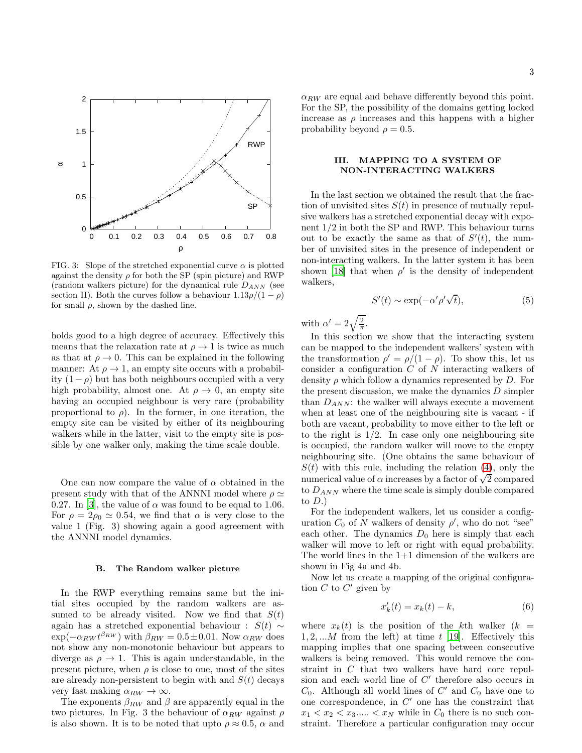

FIG. 3: Slope of the stretched exponential curve  $\alpha$  is plotted against the density  $\rho$  for both the SP (spin picture) and RWP (random walkers picture) for the dynamical rule  $D_{ANN}$  (see section II). Both the curves follow a behaviour  $1.13\rho/(1-\rho)$ for small  $\rho$ , shown by the dashed line.

holds good to a high degree of accuracy. Effectively this means that the relaxation rate at  $\rho \rightarrow 1$  is twice as much as that at  $\rho \rightarrow 0$ . This can be explained in the following manner: At  $\rho \rightarrow 1$ , an empty site occurs with a probability  $(1 - \rho)$  but has both neighbours occupied with a very high probability, almost one. At  $\rho \to 0$ , an empty site having an occupied neighbour is very rare (probability proportional to  $\rho$ ). In the former, in one iteration, the empty site can be visited by either of its neighbouring walkers while in the latter, visit to the empty site is possible by one walker only, making the time scale double.

One can now compare the value of  $\alpha$  obtained in the present study with that of the ANNNI model where  $\rho \simeq$ 0.27. In [\[3\]](#page-5-2), the value of  $\alpha$  was found to be equal to 1.06. For  $\rho = 2\rho_0 \simeq 0.54$ , we find that  $\alpha$  is very close to the value 1 (Fig. 3) showing again a good agreement with the ANNNI model dynamics.

#### B. The Random walker picture

In the RWP everything remains same but the initial sites occupied by the random walkers are assumed to be already visited. Now we find that  $S(t)$ again has a stretched exponential behaviour :  $S(t) \sim$  $\exp(-\alpha_{RW} t^{\beta_{RW}})$  with  $\beta_{RW} = 0.5 \pm 0.01$ . Now  $\alpha_{RW}$  does not show any non-monotonic behaviour but appears to diverge as  $\rho \rightarrow 1$ . This is again understandable, in the present picture, when  $\rho$  is close to one, most of the sites are already non-persistent to begin with and  $S(t)$  decays very fast making  $\alpha_{RW} \rightarrow \infty$ .

The exponents  $\beta_{RW}$  and  $\beta$  are apparently equal in the two pictures. In Fig. 3 the behaviour of  $\alpha_{RW}$  against  $\rho$ is also shown. It is to be noted that upto  $\rho \approx 0.5$ ,  $\alpha$  and  $\alpha_{RW}$  are equal and behave differently beyond this point. For the SP, the possibility of the domains getting locked increase as  $\rho$  increases and this happens with a higher probability beyond  $\rho = 0.5$ .

### III. MAPPING TO A SYSTEM OF NON-INTERACTING WALKERS

In the last section we obtained the result that the fraction of unvisited sites  $S(t)$  in presence of mutually repulsive walkers has a stretched exponential decay with exponent 1/2 in both the SP and RWP. This behaviour turns out to be exactly the same as that of  $S'(t)$ , the number of unvisited sites in the presence of independent or non-interacting walkers. In the latter system it has been shown [\[18](#page-5-17)] that when  $\rho'$  is the density of independent walkers,

$$
S'(t) \sim \exp(-\alpha' \rho' \sqrt{t}), \tag{5}
$$

with  $\alpha' = 2\sqrt{\frac{2}{\pi}}$  $\frac{2}{\pi}$ .

In this section we show that the interacting system can be mapped to the independent walkers' system with the transformation  $\rho' = \rho/(1-\rho)$ . To show this, let us consider a configuration C of N interacting walkers of density  $\rho$  which follow a dynamics represented by D. For the present discussion, we make the dynamics  $D$  simpler than  $D_{ANN}$ : the walker will always execute a movement when at least one of the neighbouring site is vacant - if both are vacant, probability to move either to the left or to the right is  $1/2$ . In case only one neighbouring site is occupied, the random walker will move to the empty neighbouring site. (One obtains the same behaviour of  $S(t)$  with this rule, including the relation [\(4\)](#page-1-0), only the numerical value of  $\alpha$  increases by a factor of  $\sqrt{2}$  compared to  $D_{ANN}$  where the time scale is simply double compared to  $D.$ )

For the independent walkers, let us consider a configuration  $C_0$  of N walkers of density  $\rho'$ , who do not "see" each other. The dynamics  $D_0$  here is simply that each walker will move to left or right with equal probability. The world lines in the 1+1 dimension of the walkers are shown in Fig 4a and 4b.

Now let us create a mapping of the original configuration  $C$  to  $C'$  given by

$$
x_k'(t) = x_k(t) - k,\tag{6}
$$

where  $x_k(t)$  is the position of the kth walker  $(k =$  $1, 2, \ldots M$  from the left) at time t [\[19\]](#page-5-18). Effectively this mapping implies that one spacing between consecutive walkers is being removed. This would remove the constraint in C that two walkers have hard core repulsion and each world line of  $C'$  therefore also occurs in  $C_0$ . Although all world lines of  $C'$  and  $C_0$  have one to one correspondence, in  $C'$  one has the constraint that  $x_1 < x_2 < x_3$ .....  $\lt x_N$  while in  $C_0$  there is no such constraint. Therefore a particular configuration may occur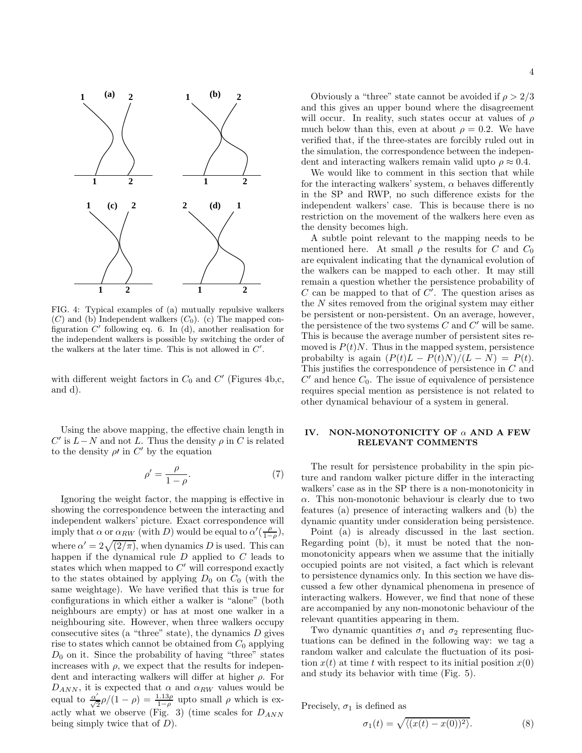

FIG. 4: Typical examples of (a) mutually repulsive walkers  $(C)$  and (b) Independent walkers  $(C_0)$ . (c) The mapped configuration  $C'$  following eq. 6. In (d), another realisation for the independent walkers is possible by switching the order of the walkers at the later time. This is not allowed in  $C'$ .

with different weight factors in  $C_0$  and  $C'$  (Figures 4b,c, and d).

Using the above mapping, the effective chain length in  $C'$  is  $L-N$  and not L. Thus the density  $\rho$  in C is related to the density  $\rho'$  in  $C'$  by the equation

$$
\rho' = \frac{\rho}{1 - \rho}.\tag{7}
$$

Ignoring the weight factor, the mapping is effective in showing the correspondence between the interacting and independent walkers' picture. Exact correspondence will imply that  $\alpha$  or  $\alpha_{RW}$  (with D) would be equal to  $\alpha'(\frac{\rho}{1-\rho}),$ where  $\alpha' = 2\sqrt{(2/\pi)}$ , when dynamics D is used. This can happen if the dynamical rule D applied to C leads to states which when mapped to  $C'$  will correspond exactly to the states obtained by applying  $D_0$  on  $C_0$  (with the same weightage). We have verified that this is true for configurations in which either a walker is "alone" (both neighbours are empty) or has at most one walker in a neighbouring site. However, when three walkers occupy consecutive sites (a "three" state), the dynamics  $D$  gives rise to states which cannot be obtained from  $C_0$  applying  $D_0$  on it. Since the probability of having "three" states increases with  $\rho$ , we expect that the results for independent and interacting walkers will differ at higher  $\rho$ . For  $D_{ANN}$ , it is expected that  $\alpha$  and  $\alpha_{RW}$  values would be equal to  $\frac{\alpha'}{\sqrt{6}}$  $\frac{\alpha'}{\sqrt{2}}\rho/(1-\rho) = \frac{1.13\rho}{1-\rho}$  upto small  $\rho$  which is exactly what we observe (Fig. 3) (time scales for  $D_{ANN}$ being simply twice that of  $D$ ).

Obviously a "three" state cannot be avoided if  $\rho > 2/3$ and this gives an upper bound where the disagreement will occur. In reality, such states occur at values of  $\rho$ much below than this, even at about  $\rho = 0.2$ . We have verified that, if the three-states are forcibly ruled out in the simulation, the correspondence between the independent and interacting walkers remain valid upto  $\rho \approx 0.4$ .

We would like to comment in this section that while for the interacting walkers' system,  $\alpha$  behaves differently in the SP and RWP, no such difference exists for the independent walkers' case. This is because there is no restriction on the movement of the walkers here even as the density becomes high.

A subtle point relevant to the mapping needs to be mentioned here. At small  $\rho$  the results for C and  $C_0$ are equivalent indicating that the dynamical evolution of the walkers can be mapped to each other. It may still remain a question whether the persistence probability of C can be mapped to that of  $C'$ . The question arises as the N sites removed from the original system may either be persistent or non-persistent. On an average, however, the persistence of the two systems  $C$  and  $C'$  will be same. This is because the average number of persistent sites removed is  $P(t)N$ . Thus in the mapped system, persistence probabilty is again  $(P(t)L - P(t)N)/(L - N) = P(t)$ . This justifies the correspondence of persistence in C and  $C'$  and hence  $C_0$ . The issue of equivalence of persistence requires special mention as persistence is not related to other dynamical behaviour of a system in general.

## IV. NON-MONOTONICITY OF  $\alpha$  AND A FEW RELEVANT COMMENTS

The result for persistence probability in the spin picture and random walker picture differ in the interacting walkers' case as in the SP there is a non-monotonicity in  $\alpha$ . This non-monotonic behaviour is clearly due to two features (a) presence of interacting walkers and (b) the dynamic quantity under consideration being persistence.

Point (a) is already discussed in the last section. Regarding point (b), it must be noted that the nonmonotonicity appears when we assume that the initially occupied points are not visited, a fact which is relevant to persistence dynamics only. In this section we have discussed a few other dynamical phenomena in presence of interacting walkers. However, we find that none of these are accompanied by any non-monotonic behaviour of the relevant quantities appearing in them.

Two dynamic quantities  $\sigma_1$  and  $\sigma_2$  representing fluctuations can be defined in the following way: we tag a random walker and calculate the fluctuation of its position  $x(t)$  at time t with respect to its initial position  $x(0)$ and study its behavior with time (Fig. 5).

Precisely,  $\sigma_1$  is defined as

$$
\sigma_1(t) = \sqrt{\langle (x(t) - x(0))^2 \rangle}.
$$
 (8)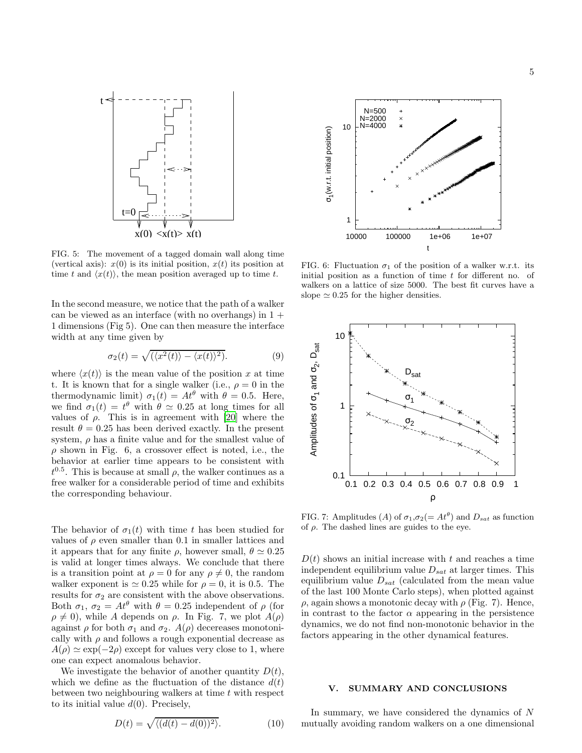

FIG. 5: The movement of a tagged domain wall along time (vertical axis):  $x(0)$  is its initial position,  $x(t)$  its position at time t and  $\langle x(t) \rangle$ , the mean position averaged up to time t.

In the second measure, we notice that the path of a walker can be viewed as an interface (with no overhangs) in  $1 +$ 1 dimensions (Fig 5). One can then measure the interface width at any time given by

$$
\sigma_2(t) = \sqrt{(\langle x^2(t) \rangle - \langle x(t) \rangle^2)}.
$$
\n(9)

where  $\langle x(t) \rangle$  is the mean value of the position x at time t. It is known that for a single walker (i.e.,  $\rho = 0$  in the thermodynamic limit)  $\sigma_1(t) = At^{\theta}$  with  $\theta = 0.5$ . Here, we find  $\sigma_1(t) = t^{\theta}$  with  $\theta \simeq 0.25$  at long times for all values of  $\rho$ . This is in agreement with [\[20\]](#page-5-19) where the result  $\theta = 0.25$  has been derived exactly. In the present system,  $\rho$  has a finite value and for the smallest value of  $\rho$  shown in Fig. 6, a crossover effect is noted, i.e., the behavior at earlier time appears to be consistent with  $t^{0.5}$ . This is because at small  $\rho$ , the walker continues as a free walker for a considerable period of time and exhibits the corresponding behaviour.

The behavior of  $\sigma_1(t)$  with time t has been studied for values of  $\rho$  even smaller than 0.1 in smaller lattices and it appears that for any finite  $\rho$ , however small,  $\theta \simeq 0.25$ is valid at longer times always. We conclude that there is a transition point at  $\rho = 0$  for any  $\rho \neq 0$ , the random walker exponent is  $\simeq 0.25$  while for  $\rho = 0$ , it is 0.5. The results for  $\sigma_2$  are consistent with the above observations. Both  $\sigma_1$ ,  $\sigma_2 = At^{\theta}$  with  $\theta = 0.25$  independent of  $\rho$  (for  $\rho \neq 0$ ), while A depends on  $\rho$ . In Fig. 7, we plot  $A(\rho)$ against  $\rho$  for both  $\sigma_1$  and  $\sigma_2$ .  $A(\rho)$  decereases monotonically with  $\rho$  and follows a rough exponential decrease as  $A(\rho) \simeq \exp(-2\rho)$  except for values very close to 1, where one can expect anomalous behavior.

We investigate the behavior of another quantity  $D(t)$ , which we define as the fluctuation of the distance  $d(t)$ between two neighbouring walkers at time t with respect to its initial value  $d(0)$ . Precisely,





FIG. 6: Fluctuation  $\sigma_1$  of the position of a walker w.r.t. its initial position as a function of time  $t$  for different no. of walkers on a lattice of size 5000. The best fit curves have a slope  $\simeq 0.25$  for the higher densities.



FIG. 7: Amplitudes (A) of  $\sigma_1, \sigma_2 (= At^{\theta})$  and  $D_{sat}$  as function of  $\rho$ . The dashed lines are guides to the eye.

 $D(t)$  shows an initial increase with t and reaches a time independent equilibrium value  $D_{sat}$  at larger times. This equilibrium value  $D_{sat}$  (calculated from the mean value of the last 100 Monte Carlo steps), when plotted against ρ, again shows a monotonic decay with ρ (Fig. 7). Hence, in contrast to the factor  $\alpha$  appearing in the persistence dynamics, we do not find non-monotonic behavior in the factors appearing in the other dynamical features.

# V. SUMMARY AND CONCLUSIONS

In summary, we have considered the dynamics of N mutually avoiding random walkers on a one dimensional